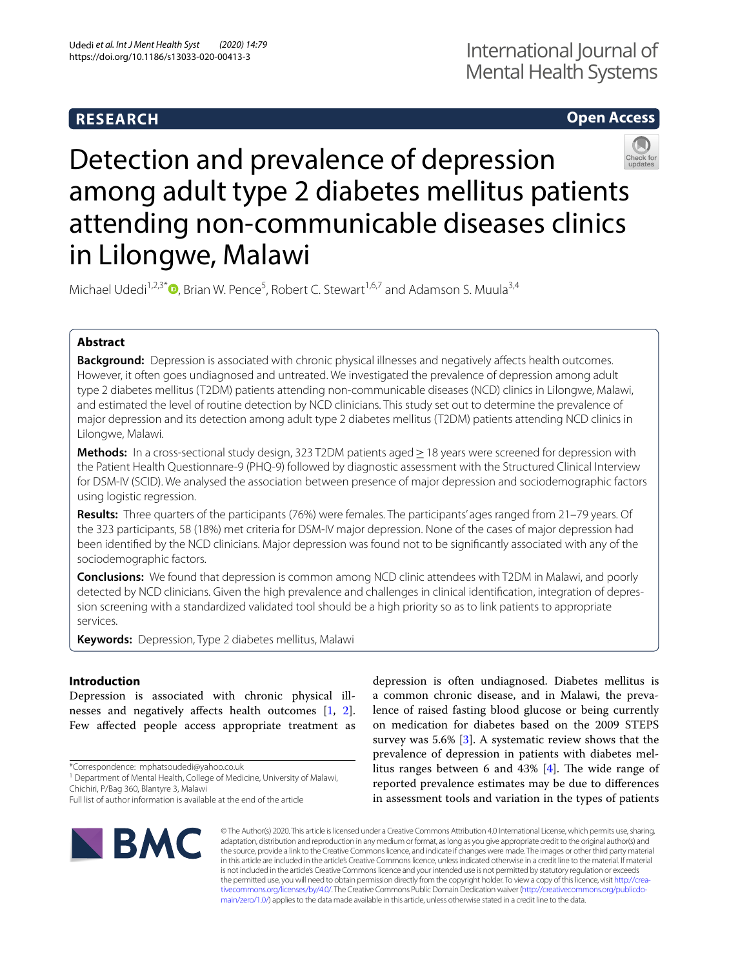# **RESEARCH**

# **Open Access**



# Detection and prevalence of depression among adult type 2 diabetes mellitus patients attending non-communicable diseases clinics in Lilongwe, Malawi

Michael Udedi<sup>1,2,3[\\*](http://orcid.org/0000-0001-8769-4313)</sup><sup>®</sup>, Brian W. Pence<sup>5</sup>, Robert C. Stewart<sup>1,6,7</sup> and Adamson S. Muula<sup>3,4</sup>

# **Abstract**

**Background:** Depression is associated with chronic physical illnesses and negatively affects health outcomes. However, it often goes undiagnosed and untreated. We investigated the prevalence of depression among adult type 2 diabetes mellitus (T2DM) patients attending non-communicable diseases (NCD) clinics in Lilongwe, Malawi, and estimated the level of routine detection by NCD clinicians. This study set out to determine the prevalence of major depression and its detection among adult type 2 diabetes mellitus (T2DM) patients attending NCD clinics in Lilongwe, Malawi.

**Methods:** In a cross-sectional study design, 323 T2DM patients aged ≥ 18 years were screened for depression with the Patient Health Questionnare-9 (PHQ-9) followed by diagnostic assessment with the Structured Clinical Interview for DSM-IV (SCID). We analysed the association between presence of major depression and sociodemographic factors using logistic regression.

**Results:** Three quarters of the participants (76%) were females. The participants' ages ranged from 21–79 years. Of the 323 participants, 58 (18%) met criteria for DSM-IV major depression. None of the cases of major depression had been identifed by the NCD clinicians. Major depression was found not to be signifcantly associated with any of the sociodemographic factors.

**Conclusions:** We found that depression is common among NCD clinic attendees with T2DM in Malawi, and poorly detected by NCD clinicians. Given the high prevalence and challenges in clinical identifcation, integration of depression screening with a standardized validated tool should be a high priority so as to link patients to appropriate services.

**Keywords:** Depression, Type 2 diabetes mellitus, Malawi

# **Introduction**

Depression is associated with chronic physical ill-nesses and negatively affects health outcomes [\[1](#page-5-0), [2](#page-5-1)]. Few affected people access appropriate treatment as

\*Correspondence: mphatsoudedi@yahoo.co.uk

Full list of author information is available at the end of the article



depression is often undiagnosed. Diabetes mellitus is a common chronic disease, and in Malawi, the prevalence of raised fasting blood glucose or being currently on medication for diabetes based on the 2009 STEPS survey was 5.6% [\[3](#page-5-2)]. A systematic review shows that the prevalence of depression in patients with diabetes mellitus ranges between 6 and  $43\%$  [[4\]](#page-5-3). The wide range of reported prevalence estimates may be due to diferences in assessment tools and variation in the types of patients

© The Author(s) 2020. This article is licensed under a Creative Commons Attribution 4.0 International License, which permits use, sharing, adaptation, distribution and reproduction in any medium or format, as long as you give appropriate credit to the original author(s) and the source, provide a link to the Creative Commons licence, and indicate if changes were made. The images or other third party material in this article are included in the article's Creative Commons licence, unless indicated otherwise in a credit line to the material. If material is not included in the article's Creative Commons licence and your intended use is not permitted by statutory regulation or exceeds the permitted use, you will need to obtain permission directly from the copyright holder. To view a copy of this licence, visit [http://crea](http://creativecommons.org/licenses/by/4.0/)[tivecommons.org/licenses/by/4.0/.](http://creativecommons.org/licenses/by/4.0/) The Creative Commons Public Domain Dedication waiver ([http://creativecommons.org/publicdo](http://creativecommons.org/publicdomain/zero/1.0/)[main/zero/1.0/\)](http://creativecommons.org/publicdomain/zero/1.0/) applies to the data made available in this article, unless otherwise stated in a credit line to the data.

<sup>&</sup>lt;sup>1</sup> Department of Mental Health, College of Medicine, University of Malawi, Chichiri, P/Bag 360, Blantyre 3, Malawi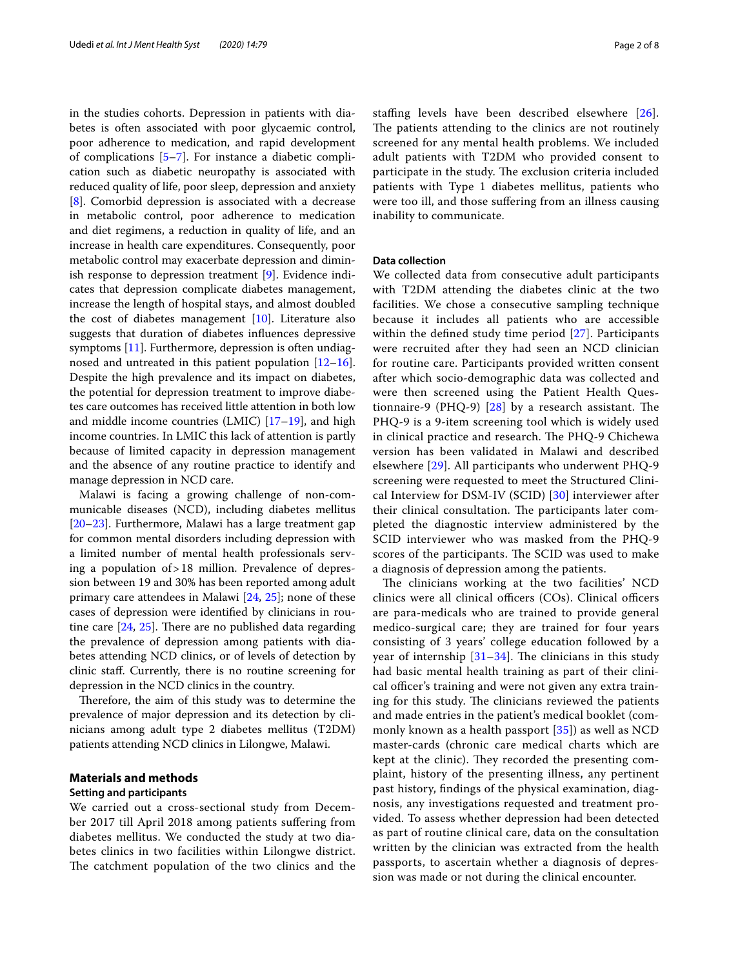in the studies cohorts. Depression in patients with diabetes is often associated with poor glycaemic control, poor adherence to medication, and rapid development of complications [\[5](#page-5-4)[–7\]](#page-5-5). For instance a diabetic complication such as diabetic neuropathy is associated with reduced quality of life, poor sleep, depression and anxiety [[8\]](#page-5-6). Comorbid depression is associated with a decrease in metabolic control, poor adherence to medication and diet regimens, a reduction in quality of life, and an increase in health care expenditures. Consequently, poor metabolic control may exacerbate depression and diminish response to depression treatment [\[9](#page-6-0)]. Evidence indicates that depression complicate diabetes management, increase the length of hospital stays, and almost doubled the cost of diabetes management [[10\]](#page-6-1). Literature also suggests that duration of diabetes infuences depressive symptoms [[11](#page-6-2)]. Furthermore, depression is often undiagnosed and untreated in this patient population [[12](#page-6-3)[–16](#page-6-4)]. Despite the high prevalence and its impact on diabetes, the potential for depression treatment to improve diabetes care outcomes has received little attention in both low and middle income countries  $(LMIC)$   $[17–19]$  $[17–19]$  $[17–19]$  $[17–19]$ , and high income countries. In LMIC this lack of attention is partly because of limited capacity in depression management and the absence of any routine practice to identify and manage depression in NCD care.

Malawi is facing a growing challenge of non-communicable diseases (NCD), including diabetes mellitus [[20–](#page-6-7)[23](#page-6-8)]. Furthermore, Malawi has a large treatment gap for common mental disorders including depression with a limited number of mental health professionals serving a population of>18 million. Prevalence of depression between 19 and 30% has been reported among adult primary care attendees in Malawi [[24](#page-6-9), [25](#page-6-10)]; none of these cases of depression were identifed by clinicians in routine care  $[24, 25]$  $[24, 25]$  $[24, 25]$  $[24, 25]$ . There are no published data regarding the prevalence of depression among patients with diabetes attending NCD clinics, or of levels of detection by clinic staf. Currently, there is no routine screening for depression in the NCD clinics in the country.

Therefore, the aim of this study was to determine the prevalence of major depression and its detection by clinicians among adult type 2 diabetes mellitus (T2DM) patients attending NCD clinics in Lilongwe, Malawi.

# **Materials and methods**

## **Setting and participants**

We carried out a cross-sectional study from December 2017 till April 2018 among patients sufering from diabetes mellitus. We conducted the study at two diabetes clinics in two facilities within Lilongwe district. The catchment population of the two clinics and the stafng levels have been described elsewhere [[26\]](#page-6-11). The patients attending to the clinics are not routinely screened for any mental health problems. We included adult patients with T2DM who provided consent to participate in the study. The exclusion criteria included patients with Type 1 diabetes mellitus, patients who were too ill, and those sufering from an illness causing inability to communicate.

#### **Data collection**

We collected data from consecutive adult participants with T2DM attending the diabetes clinic at the two facilities. We chose a consecutive sampling technique because it includes all patients who are accessible within the defned study time period [[27\]](#page-6-12). Participants were recruited after they had seen an NCD clinician for routine care. Participants provided written consent after which socio-demographic data was collected and were then screened using the Patient Health Questionnaire-9 (PHQ-9)  $[28]$  $[28]$  by a research assistant. The PHQ-9 is a 9-item screening tool which is widely used in clinical practice and research. The PHQ-9 Chichewa version has been validated in Malawi and described elsewhere [\[29\]](#page-6-14). All participants who underwent PHQ-9 screening were requested to meet the Structured Clinical Interview for DSM-IV (SCID) [[30](#page-6-15)] interviewer after their clinical consultation. The participants later completed the diagnostic interview administered by the SCID interviewer who was masked from the PHQ-9 scores of the participants. The SCID was used to make a diagnosis of depression among the patients.

The clinicians working at the two facilities' NCD clinics were all clinical officers (COs). Clinical officers are para-medicals who are trained to provide general medico-surgical care; they are trained for four years consisting of 3 years' college education followed by a year of internship  $[31-34]$  $[31-34]$ . The clinicians in this study had basic mental health training as part of their clinical officer's training and were not given any extra training for this study. The clinicians reviewed the patients and made entries in the patient's medical booklet (commonly known as a health passport [[35](#page-6-18)]) as well as NCD master-cards (chronic care medical charts which are kept at the clinic). They recorded the presenting complaint, history of the presenting illness, any pertinent past history, fndings of the physical examination, diagnosis, any investigations requested and treatment provided. To assess whether depression had been detected as part of routine clinical care, data on the consultation written by the clinician was extracted from the health passports, to ascertain whether a diagnosis of depression was made or not during the clinical encounter.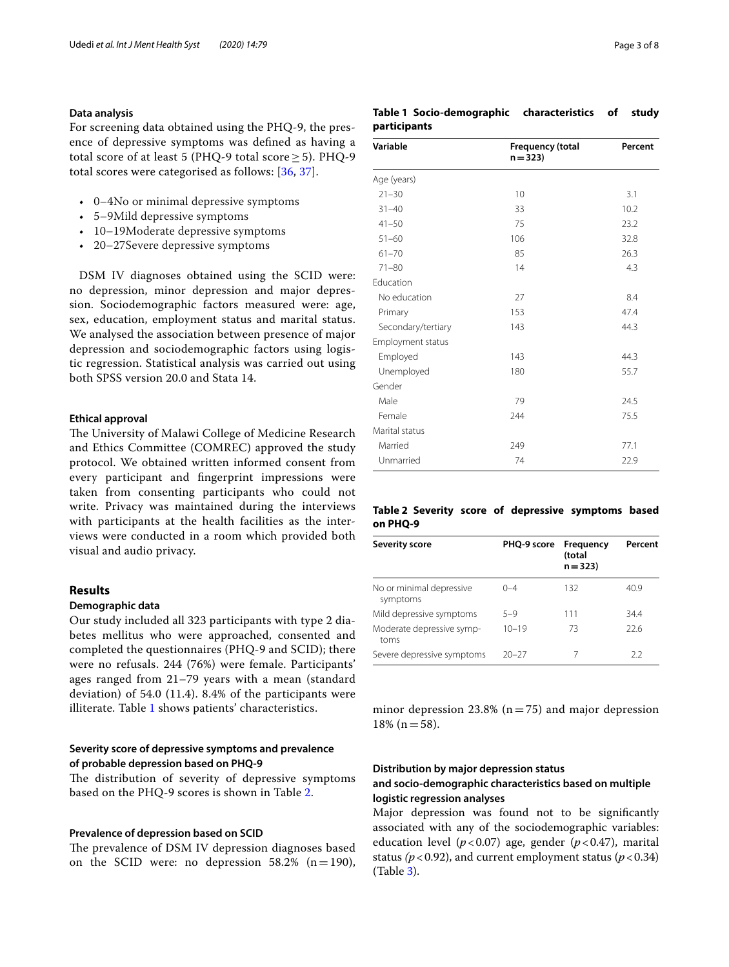#### **Data analysis**

For screening data obtained using the PHQ-9, the presence of depressive symptoms was defned as having a total score of at least 5 (PHQ-9 total score ≥ 5). PHQ-9 total scores were categorised as follows: [[36,](#page-6-19) [37\]](#page-6-20).

- 0–4No or minimal depressive symptoms
- 5–9Mild depressive symptoms
- 10–19Moderate depressive symptoms
- 20–27Severe depressive symptoms

DSM IV diagnoses obtained using the SCID were: no depression, minor depression and major depression. Sociodemographic factors measured were: age, sex, education, employment status and marital status. We analysed the association between presence of major depression and sociodemographic factors using logistic regression. Statistical analysis was carried out using both SPSS version 20.0 and Stata 14.

#### **Ethical approval**

The University of Malawi College of Medicine Research and Ethics Committee (COMREC) approved the study protocol. We obtained written informed consent from every participant and fngerprint impressions were taken from consenting participants who could not write. Privacy was maintained during the interviews with participants at the health facilities as the interviews were conducted in a room which provided both visual and audio privacy.

#### **Results**

#### **Demographic data**

Our study included all 323 participants with type 2 diabetes mellitus who were approached, consented and completed the questionnaires (PHQ-9 and SCID); there were no refusals. 244 (76%) were female. Participants' ages ranged from 21–79 years with a mean (standard deviation) of 54.0 (11.4). 8.4% of the participants were illiterate. Table [1](#page-2-0) shows patients' characteristics.

### **Severity score of depressive symptoms and prevalence of probable depression based on PHQ‑9**

The distribution of severity of depressive symptoms based on the PHQ-9 scores is shown in Table [2](#page-2-1).

#### **Prevalence of depression based on SCID**

The prevalence of DSM IV depression diagnoses based on the SCID were: no depression  $58.2\%$  (n=190),

| $21 - 30$                 | 10  | 3.1  |
|---------------------------|-----|------|
| $31 - 40$                 | 33  | 10.2 |
| $41 - 50$                 | 75  | 23.2 |
| $51 - 60$                 | 106 | 32.8 |
| $61 - 70$                 | 85  | 26.3 |
| $71 - 80$                 | 14  | 4.3  |
| المتنافية والمستنب والمنا |     |      |

**Variable Frequency (total** 

Age (years)

| $71 - 80$                | 14  | 4.3  |
|--------------------------|-----|------|
| Education                |     |      |
| No education             | 27  | 8.4  |
| Primary                  | 153 | 47.4 |
| Secondary/tertiary       | 143 | 44.3 |
| <b>Employment status</b> |     |      |
| Employed                 | 143 | 44.3 |
| Unemployed               | 180 | 55.7 |
| Gender                   |     |      |
| Male                     | 79  | 24.5 |
| Female                   | 244 | 75.5 |
| Marital status           |     |      |
| Married                  | 249 | 77.1 |
| Unmarried                | 74  | 22.9 |

#### <span id="page-2-1"></span>**Table 2 Severity score of depressive symptoms based on PHQ-9**

| Frequency<br>(total<br>$n = 323$ | Percent |
|----------------------------------|---------|
| 132                              | 40.9    |
| 111                              | 344     |
| 73                               | 22.6    |
|                                  | 22      |
|                                  |         |

minor depression 23.8% ( $n=75$ ) and major depression  $18\%$  (n = 58).

### **Distribution by major depression status and socio‑demographic characteristics based on multiple logistic regression analyses**

Major depression was found not to be signifcantly associated with any of the sociodemographic variables: education level (*p*<0.07) age, gender (*p*<0.47), marital status ( $p$ <0.92), and current employment status ( $p$ <0.34) (Table [3\)](#page-3-0).

**Percent**

#### <span id="page-2-0"></span>**Table 1 Socio-demographic characteristics of study participants**

**n=323)**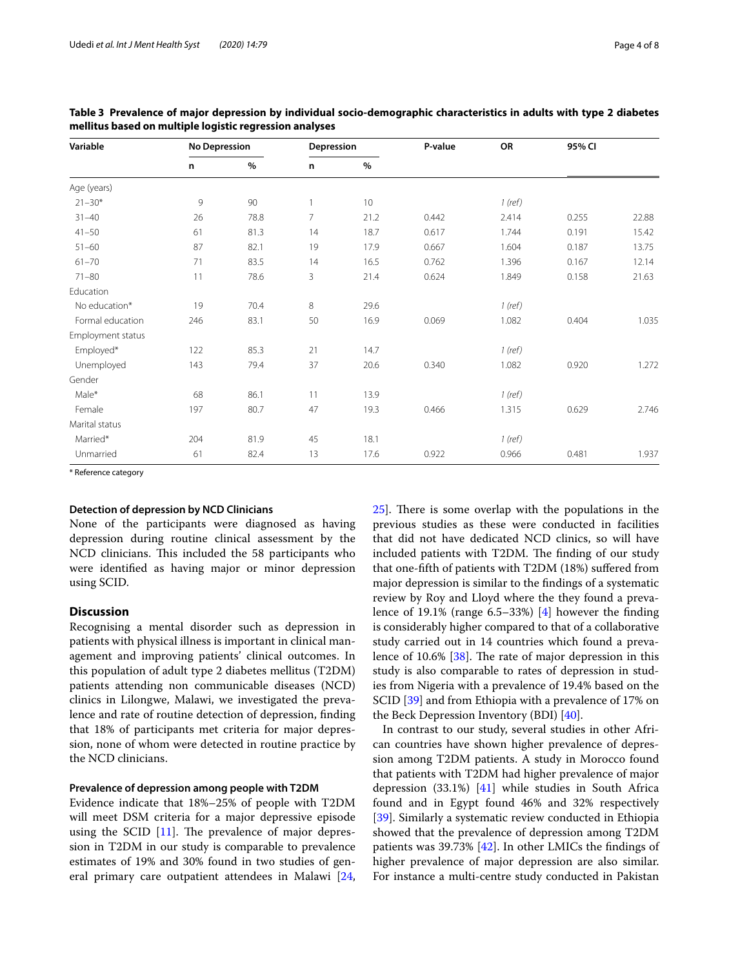| Variable          | <b>No Depression</b> |               | Depression      |      | P-value | OR      | 95% CI |       |
|-------------------|----------------------|---------------|-----------------|------|---------|---------|--------|-------|
|                   | n                    | $\frac{9}{6}$ | n               | $\%$ |         |         |        |       |
| Age (years)       |                      |               |                 |      |         |         |        |       |
| $21 - 30*$        | 9                    | 90            | $\mathbf{1}$    | 10   |         | 1 (ref) |        |       |
| $31 - 40$         | 26                   | 78.8          | $7\overline{ }$ | 21.2 | 0.442   | 2.414   | 0.255  | 22.88 |
| $41 - 50$         | 61                   | 81.3          | 14              | 18.7 | 0.617   | 1.744   | 0.191  | 15.42 |
| $51 - 60$         | 87                   | 82.1          | 19              | 17.9 | 0.667   | 1.604   | 0.187  | 13.75 |
| $61 - 70$         | 71                   | 83.5          | 14              | 16.5 | 0.762   | 1.396   | 0.167  | 12.14 |
| $71 - 80$         | 11                   | 78.6          | 3               | 21.4 | 0.624   | 1.849   | 0.158  | 21.63 |
| Education         |                      |               |                 |      |         |         |        |       |
| No education*     | 19                   | 70.4          | 8               | 29.6 |         | 1 (ref) |        |       |
| Formal education  | 246                  | 83.1          | 50              | 16.9 | 0.069   | 1.082   | 0.404  | 1.035 |
| Employment status |                      |               |                 |      |         |         |        |       |
| Employed*         | 122                  | 85.3          | 21              | 14.7 |         | 1 (ref) |        |       |
| Unemployed        | 143                  | 79.4          | 37              | 20.6 | 0.340   | 1.082   | 0.920  | 1.272 |
| Gender            |                      |               |                 |      |         |         |        |       |
| Male*             | 68                   | 86.1          | 11              | 13.9 |         | 1 (ref) |        |       |
| Female            | 197                  | 80.7          | 47              | 19.3 | 0.466   | 1.315   | 0.629  | 2.746 |
| Marital status    |                      |               |                 |      |         |         |        |       |
| Married*          | 204                  | 81.9          | 45              | 18.1 |         | 1 (ref) |        |       |
| Unmarried         | 61                   | 82.4          | 13              | 17.6 | 0.922   | 0.966   | 0.481  | 1.937 |

<span id="page-3-0"></span>**Table 3 Prevalence of major depression by individual socio-demographic characteristics in adults with type 2 diabetes mellitus based on multiple logistic regression analyses**

\* Reference category

#### **Detection of depression by NCD Clinicians**

None of the participants were diagnosed as having depression during routine clinical assessment by the NCD clinicians. This included the 58 participants who were identifed as having major or minor depression using SCID.

#### **Discussion**

Recognising a mental disorder such as depression in patients with physical illness is important in clinical management and improving patients' clinical outcomes. In this population of adult type 2 diabetes mellitus (T2DM) patients attending non communicable diseases (NCD) clinics in Lilongwe, Malawi, we investigated the prevalence and rate of routine detection of depression, fnding that 18% of participants met criteria for major depression, none of whom were detected in routine practice by the NCD clinicians.

#### **Prevalence of depression among people with T2DM**

Evidence indicate that 18%–25% of people with T2DM will meet DSM criteria for a major depressive episode using the SCID  $[11]$  $[11]$ . The prevalence of major depression in T2DM in our study is comparable to prevalence estimates of 19% and 30% found in two studies of general primary care outpatient attendees in Malawi [\[24](#page-6-9),  $25$ . There is some overlap with the populations in the previous studies as these were conducted in facilities that did not have dedicated NCD clinics, so will have included patients with T2DM. The finding of our study that one-ffth of patients with T2DM (18%) sufered from major depression is similar to the fndings of a systematic review by Roy and Lloyd where the they found a prevalence of 19.1% (range 6.5–33%) [[4\]](#page-5-3) however the fnding is considerably higher compared to that of a collaborative study carried out in 14 countries which found a prevalence of  $10.6\%$  [[38](#page-6-21)]. The rate of major depression in this study is also comparable to rates of depression in studies from Nigeria with a prevalence of 19.4% based on the SCID [[39\]](#page-6-22) and from Ethiopia with a prevalence of 17% on the Beck Depression Inventory (BDI) [\[40](#page-6-23)].

In contrast to our study, several studies in other African countries have shown higher prevalence of depression among T2DM patients. A study in Morocco found that patients with T2DM had higher prevalence of major depression  $(33.1\%)$  [\[41](#page-6-24)] while studies in South Africa found and in Egypt found 46% and 32% respectively [[39\]](#page-6-22). Similarly a systematic review conducted in Ethiopia showed that the prevalence of depression among T2DM patients was  $39.73\%$  [\[42\]](#page-6-25). In other LMICs the findings of higher prevalence of major depression are also similar. For instance a multi-centre study conducted in Pakistan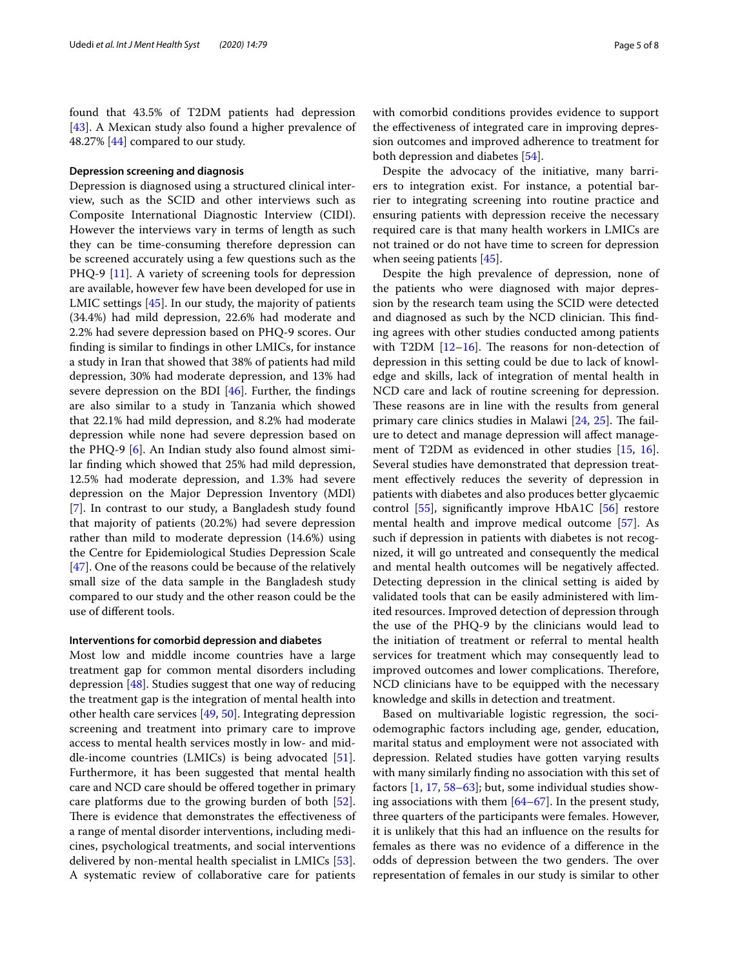found that 43.5% of T2DM patients had depression [[43\]](#page-6-26). A Mexican study also found a higher prevalence of 48.27% [[44\]](#page-6-27) compared to our study.

#### **Depression screening and diagnosis**

Depression is diagnosed using a structured clinical interview, such as the SCID and other interviews such as Composite International Diagnostic Interview (CIDI). However the interviews vary in terms of length as such they can be time-consuming therefore depression can be screened accurately using a few questions such as the PHQ-9 [[11\]](#page-6-2). A variety of screening tools for depression are available, however few have been developed for use in LMIC settings [[45](#page-6-28)]. In our study, the majority of patients (34.4%) had mild depression, 22.6% had moderate and 2.2% had severe depression based on PHQ-9 scores. Our fnding is similar to fndings in other LMICs, for instance a study in Iran that showed that 38% of patients had mild depression, 30% had moderate depression, and 13% had severe depression on the BDI [[46\]](#page-6-29). Further, the fndings are also similar to a study in Tanzania which showed that 22.1% had mild depression, and 8.2% had moderate depression while none had severe depression based on the PHQ-9 [[6\]](#page-5-7). An Indian study also found almost similar fnding which showed that 25% had mild depression, 12.5% had moderate depression, and 1.3% had severe depression on the Major Depression Inventory (MDI) [[7\]](#page-5-5). In contrast to our study, a Bangladesh study found that majority of patients (20.2%) had severe depression rather than mild to moderate depression (14.6%) using the Centre for Epidemiological Studies Depression Scale [[47\]](#page-6-30). One of the reasons could be because of the relatively small size of the data sample in the Bangladesh study compared to our study and the other reason could be the use of diferent tools.

#### **Interventions for comorbid depression and diabetes**

Most low and middle income countries have a large treatment gap for common mental disorders including depression [[48](#page-6-31)]. Studies suggest that one way of reducing the treatment gap is the integration of mental health into other health care services [[49](#page-6-32), [50\]](#page-6-33). Integrating depression screening and treatment into primary care to improve access to mental health services mostly in low- and middle-income countries (LMICs) is being advocated [\[51](#page-6-34)]. Furthermore, it has been suggested that mental health care and NCD care should be ofered together in primary care platforms due to the growing burden of both [\[52](#page-6-35)]. There is evidence that demonstrates the effectiveness of a range of mental disorder interventions, including medicines, psychological treatments, and social interventions delivered by non-mental health specialist in LMICs [\[53](#page-7-0)]. A systematic review of collaborative care for patients with comorbid conditions provides evidence to support the efectiveness of integrated care in improving depression outcomes and improved adherence to treatment for both depression and diabetes [\[54\]](#page-7-1).

Despite the advocacy of the initiative, many barriers to integration exist. For instance, a potential barrier to integrating screening into routine practice and ensuring patients with depression receive the necessary required care is that many health workers in LMICs are not trained or do not have time to screen for depression when seeing patients [\[45](#page-6-28)].

Despite the high prevalence of depression, none of the patients who were diagnosed with major depression by the research team using the SCID were detected and diagnosed as such by the NCD clinician. This finding agrees with other studies conducted among patients with T2DM  $[12–16]$  $[12–16]$ . The reasons for non-detection of depression in this setting could be due to lack of knowledge and skills, lack of integration of mental health in NCD care and lack of routine screening for depression. These reasons are in line with the results from general primary care clinics studies in Malawi  $[24, 25]$  $[24, 25]$  $[24, 25]$  $[24, 25]$ . The failure to detect and manage depression will afect management of T2DM as evidenced in other studies [\[15,](#page-6-36) [16](#page-6-4)]. Several studies have demonstrated that depression treatment efectively reduces the severity of depression in patients with diabetes and also produces better glycaemic control [[55\]](#page-7-2), signifcantly improve HbA1C [[56](#page-7-3)] restore mental health and improve medical outcome [[57\]](#page-7-4). As such if depression in patients with diabetes is not recognized, it will go untreated and consequently the medical and mental health outcomes will be negatively afected. Detecting depression in the clinical setting is aided by validated tools that can be easily administered with limited resources. Improved detection of depression through the use of the PHQ-9 by the clinicians would lead to the initiation of treatment or referral to mental health services for treatment which may consequently lead to improved outcomes and lower complications. Therefore, NCD clinicians have to be equipped with the necessary knowledge and skills in detection and treatment.

Based on multivariable logistic regression, the sociodemographic factors including age, gender, education, marital status and employment were not associated with depression. Related studies have gotten varying results with many similarly fnding no association with this set of factors [\[1](#page-5-0), [17,](#page-6-5) [58](#page-7-5)[–63](#page-7-6)]; but, some individual studies showing associations with them [[64](#page-7-7)[–67](#page-7-8)]. In the present study, three quarters of the participants were females. However, it is unlikely that this had an infuence on the results for females as there was no evidence of a diference in the odds of depression between the two genders. The over representation of females in our study is similar to other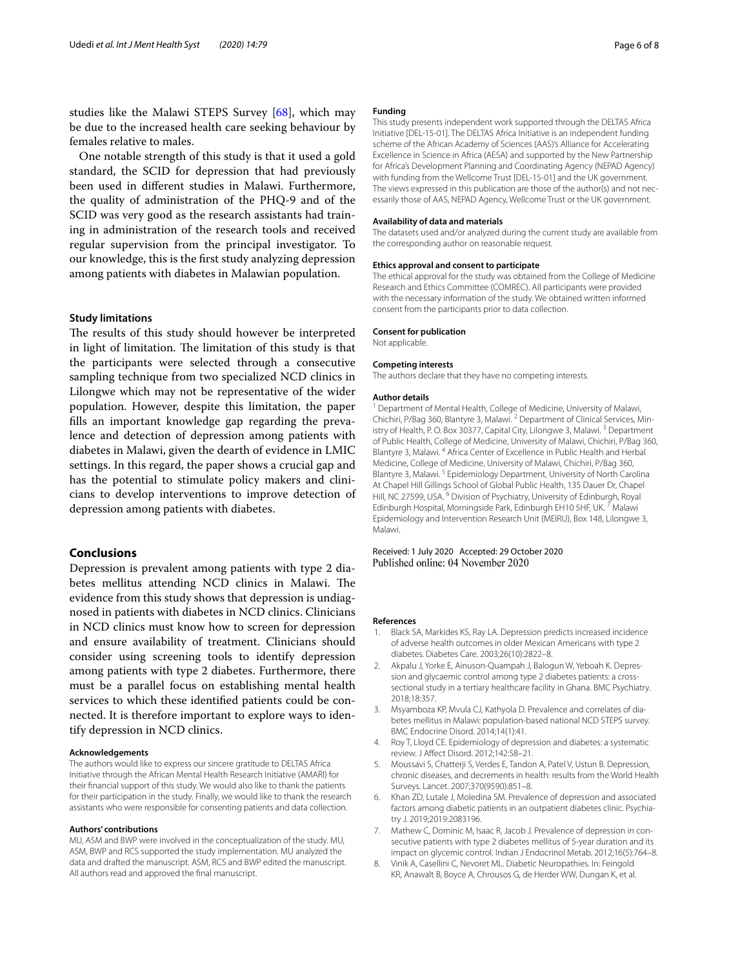studies like the Malawi STEPS Survey [[68](#page-7-9)], which may be due to the increased health care seeking behaviour by females relative to males.

One notable strength of this study is that it used a gold standard, the SCID for depression that had previously been used in diferent studies in Malawi. Furthermore, the quality of administration of the PHQ-9 and of the SCID was very good as the research assistants had training in administration of the research tools and received regular supervision from the principal investigator. To our knowledge, this is the frst study analyzing depression among patients with diabetes in Malawian population.

#### **Study limitations**

The results of this study should however be interpreted in light of limitation. The limitation of this study is that the participants were selected through a consecutive sampling technique from two specialized NCD clinics in Lilongwe which may not be representative of the wider population. However, despite this limitation, the paper flls an important knowledge gap regarding the prevalence and detection of depression among patients with diabetes in Malawi, given the dearth of evidence in LMIC settings. In this regard, the paper shows a crucial gap and has the potential to stimulate policy makers and clinicians to develop interventions to improve detection of depression among patients with diabetes.

#### **Conclusions**

Depression is prevalent among patients with type 2 diabetes mellitus attending NCD clinics in Malawi. The evidence from this study shows that depression is undiagnosed in patients with diabetes in NCD clinics. Clinicians in NCD clinics must know how to screen for depression and ensure availability of treatment. Clinicians should consider using screening tools to identify depression among patients with type 2 diabetes. Furthermore, there must be a parallel focus on establishing mental health services to which these identifed patients could be connected. It is therefore important to explore ways to identify depression in NCD clinics.

#### **Acknowledgements**

The authors would like to express our sincere gratitude to DELTAS Africa Initiative through the African Mental Health Research Initiative (AMARI) for their fnancial support of this study. We would also like to thank the patients for their participation in the study. Finally, we would like to thank the research assistants who were responsible for consenting patients and data collection.

#### **Authors' contributions**

MU, ASM and BWP were involved in the conceptualization of the study. MU, ASM, BWP and RCS supported the study implementation. MU analyzed the data and drafted the manuscript. ASM, RCS and BWP edited the manuscript. All authors read and approved the fnal manuscript.

#### **Funding**

This study presents independent work supported through the DELTAS Africa Initiative [DEL-15-01]. The DELTAS Africa Initiative is an independent funding scheme of the African Academy of Sciences (AAS)'s Alliance for Accelerating Excellence in Science in Africa (AESA) and supported by the New Partnership for Africa's Development Planning and Coordinating Agency (NEPAD Agency) with funding from the Wellcome Trust [DEL-15-01] and the UK government. The views expressed in this publication are those of the author(s) and not necessarily those of AAS, NEPAD Agency, Wellcome Trust or the UK government.

#### **Availability of data and materials**

The datasets used and/or analyzed during the current study are available from the corresponding author on reasonable request.

#### **Ethics approval and consent to participate**

The ethical approval for the study was obtained from the College of Medicine Research and Ethics Committee (COMREC). All participants were provided with the necessary information of the study. We obtained written informed consent from the participants prior to data collection.

#### **Consent for publication**

Not applicable.

#### **Competing interests**

The authors declare that they have no competing interests.

#### **Author details**

<sup>1</sup> Department of Mental Health, College of Medicine, University of Malawi, Chichiri, P/Bag 360, Blantyre 3, Malawi. <sup>2</sup> Department of Clinical Services, Ministry of Health, P.O. Box 30377, Capital City, Lilongwe 3, Malawi.<sup>3</sup> Department of Public Health, College of Medicine, University of Malawi, Chichiri, P/Bag 360, Blantyre 3, Malawi. 4 Africa Center of Excellence in Public Health and Herbal Medicine, College of Medicine, University of Malawi, Chichiri, P/Bag 360, Blantyre 3, Malawi. 5 Epidemiology Department, University of North Carolina At Chapel Hill Gillings School of Global Public Health, 135 Dauer Dr, Chapel Hill, NC 27599, USA. <sup>6</sup> Division of Psychiatry, University of Edinburgh, Royal Edinburgh Hospital, Morningside Park, Edinburgh EH10 5HF, UK. 7 Malawi Epidemiology and Intervention Research Unit (MEIRU), Box 148, Lilongwe 3, Malawi.

Received: 1 July 2020 Accepted: 29 October 2020 Published online: 04 November 2020

#### **References**

- <span id="page-5-0"></span>1. Black SA, Markides KS, Ray LA. Depression predicts increased incidence of adverse health outcomes in older Mexican Americans with type 2 diabetes. Diabetes Care. 2003;26(10):2822–8.
- <span id="page-5-1"></span>2. Akpalu J, Yorke E, Ainuson-Quampah J, Balogun W, Yeboah K. Depression and glycaemic control among type 2 diabetes patients: a crosssectional study in a tertiary healthcare facility in Ghana. BMC Psychiatry. 2018;18:357.
- <span id="page-5-2"></span>3. Msyamboza KP, Mvula CJ, Kathyola D. Prevalence and correlates of diabetes mellitus in Malawi: population-based national NCD STEPS survey. BMC Endocrine Disord. 2014;14(1):41.
- <span id="page-5-3"></span>4. Roy T, Lloyd CE. Epidemiology of depression and diabetes: a systematic review. J Afect Disord. 2012;142:S8–21.
- <span id="page-5-4"></span>5. Moussavi S, Chatterji S, Verdes E, Tandon A, Patel V, Ustun B. Depression, chronic diseases, and decrements in health: results from the World Health Surveys. Lancet. 2007;370(9590):851–8.
- <span id="page-5-7"></span>6. Khan ZD, Lutale J, Moledina SM. Prevalence of depression and associated factors among diabetic patients in an outpatient diabetes clinic. Psychiatry J. 2019;2019:2083196.
- <span id="page-5-5"></span>7. Mathew C, Dominic M, Isaac R, Jacob J. Prevalence of depression in consecutive patients with type 2 diabetes mellitus of 5-year duration and its impact on glycemic control. Indian J Endocrinol Metab. 2012;16(5):764–8.
- <span id="page-5-6"></span>8. Vinik A, Casellini C, Nevoret ML. Diabetic Neuropathies. In: Feingold KR, Anawalt B, Boyce A, Chrousos G, de Herder WW, Dungan K, et al.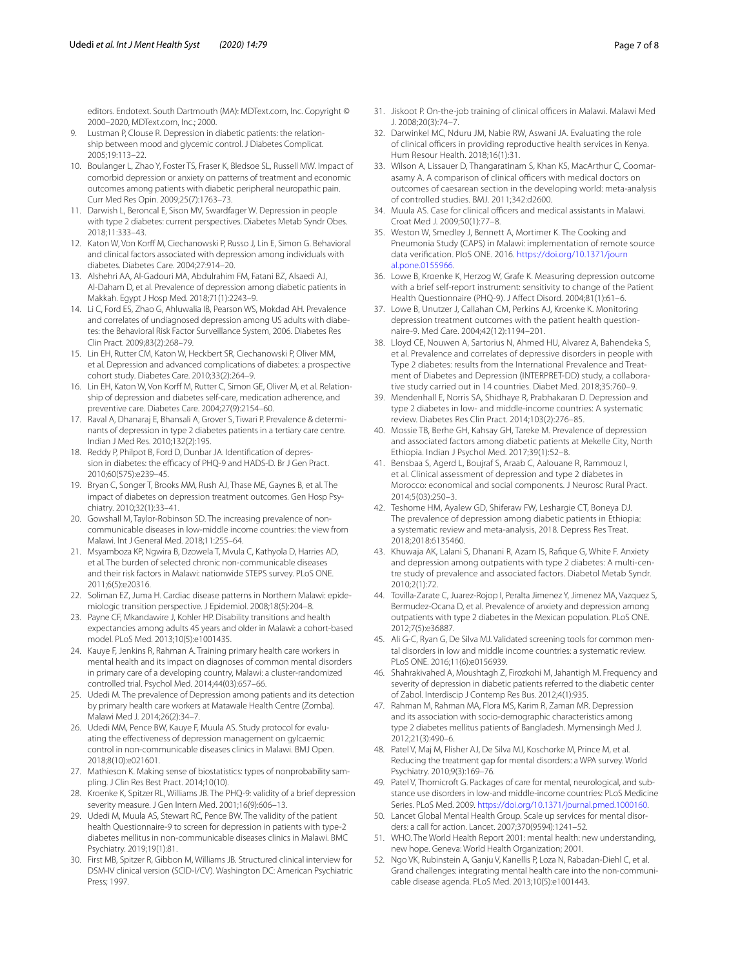editors. Endotext. South Dartmouth (MA): MDText.com, Inc. Copyright © 2000–2020, MDText.com, Inc.; 2000.

- <span id="page-6-0"></span>9. Lustman P, Clouse R. Depression in diabetic patients: the relationship between mood and glycemic control. J Diabetes Complicat. 2005;19:113–22.
- <span id="page-6-1"></span>10. Boulanger L, Zhao Y, Foster TS, Fraser K, Bledsoe SL, Russell MW. Impact of comorbid depression or anxiety on patterns of treatment and economic outcomes among patients with diabetic peripheral neuropathic pain. Curr Med Res Opin. 2009;25(7):1763–73.
- <span id="page-6-2"></span>11. Darwish L, Beroncal E, Sison MV, Swardfager W. Depression in people with type 2 diabetes: current perspectives. Diabetes Metab Syndr Obes. 2018;11:333–43.
- <span id="page-6-3"></span>12. Katon W, Von Korff M, Ciechanowski P, Russo J, Lin E, Simon G. Behavioral and clinical factors associated with depression among individuals with diabetes. Diabetes Care. 2004;27:914–20.
- 13. Alshehri AA, Al-Gadouri MA, Abdulrahim FM, Fatani BZ, Alsaedi AJ, Al-Daham D, et al. Prevalence of depression among diabetic patients in Makkah. Egypt J Hosp Med. 2018;71(1):2243–9.
- 14. Li C, Ford ES, Zhao G, Ahluwalia IB, Pearson WS, Mokdad AH. Prevalence and correlates of undiagnosed depression among US adults with diabetes: the Behavioral Risk Factor Surveillance System, 2006. Diabetes Res Clin Pract. 2009;83(2):268–79.
- <span id="page-6-36"></span>15. Lin EH, Rutter CM, Katon W, Heckbert SR, Ciechanowski P, Oliver MM, et al. Depression and advanced complications of diabetes: a prospective cohort study. Diabetes Care. 2010;33(2):264–9.
- <span id="page-6-4"></span>16. Lin EH, Katon W, Von Korff M, Rutter C, Simon GE, Oliver M, et al. Relationship of depression and diabetes self-care, medication adherence, and preventive care. Diabetes Care. 2004;27(9):2154–60.
- <span id="page-6-5"></span>17. Raval A, Dhanaraj E, Bhansali A, Grover S, Tiwari P. Prevalence & determinants of depression in type 2 diabetes patients in a tertiary care centre. Indian J Med Res. 2010;132(2):195.
- 18. Reddy P, Philpot B, Ford D, Dunbar JA. Identifcation of depression in diabetes: the efficacy of PHQ-9 and HADS-D. Br J Gen Pract. 2010;60(575):e239–45.
- <span id="page-6-6"></span>19. Bryan C, Songer T, Brooks MM, Rush AJ, Thase ME, Gaynes B, et al. The impact of diabetes on depression treatment outcomes. Gen Hosp Psychiatry. 2010;32(1):33–41.
- <span id="page-6-7"></span>20. Gowshall M, Taylor-Robinson SD. The increasing prevalence of noncommunicable diseases in low-middle income countries: the view from Malawi. Int J General Med. 2018;11:255–64.
- 21. Msyamboza KP, Ngwira B, Dzowela T, Mvula C, Kathyola D, Harries AD, et al. The burden of selected chronic non-communicable diseases and their risk factors in Malawi: nationwide STEPS survey. PLoS ONE. 2011;6(5):e20316.
- 22. Soliman EZ, Juma H. Cardiac disease patterns in Northern Malawi: epidemiologic transition perspective. J Epidemiol. 2008;18(5):204–8.
- <span id="page-6-8"></span>23. Payne CF, Mkandawire J, Kohler HP. Disability transitions and health expectancies among adults 45 years and older in Malawi: a cohort-based model. PLoS Med. 2013;10(5):e1001435.
- <span id="page-6-9"></span>24. Kauye F, Jenkins R, Rahman A. Training primary health care workers in mental health and its impact on diagnoses of common mental disorders in primary care of a developing country, Malawi: a cluster-randomized controlled trial. Psychol Med. 2014;44(03):657–66.
- <span id="page-6-10"></span>25. Udedi M. The prevalence of Depression among patients and its detection by primary health care workers at Matawale Health Centre (Zomba). Malawi Med J. 2014;26(2):34–7.
- <span id="page-6-11"></span>26. Udedi MM, Pence BW, Kauye F, Muula AS. Study protocol for evaluating the efectiveness of depression management on gylcaemic control in non-communicable diseases clinics in Malawi. BMJ Open. 2018;8(10):e021601.
- <span id="page-6-12"></span>27. Mathieson K. Making sense of biostatistics: types of nonprobability sampling. J Clin Res Best Pract. 2014;10(10).
- <span id="page-6-13"></span>28. Kroenke K, Spitzer RL, Williams JB. The PHQ-9: validity of a brief depression severity measure. J Gen Intern Med. 2001;16(9):606–13.
- <span id="page-6-14"></span>29. Udedi M, Muula AS, Stewart RC, Pence BW. The validity of the patient health Questionnaire-9 to screen for depression in patients with type-2 diabetes mellitus in non-communicable diseases clinics in Malawi. BMC Psychiatry. 2019;19(1):81.
- <span id="page-6-15"></span>30. First MB, Spitzer R, Gibbon M, Williams JB. Structured clinical interview for DSM-IV clinical version (SCID-I/CV). Washington DC: American Psychiatric Press; 1997.
- <span id="page-6-16"></span>31. Jiskoot P. On-the-job training of clinical officers in Malawi. Malawi Med J. 2008;20(3):74–7.
- 32. Darwinkel MC, Nduru JM, Nabie RW, Aswani JA. Evaluating the role of clinical officers in providing reproductive health services in Kenya. Hum Resour Health. 2018;16(1):31.
- 33. Wilson A, Lissauer D, Thangaratinam S, Khan KS, MacArthur C, Coomarasamy A. A comparison of clinical officers with medical doctors on outcomes of caesarean section in the developing world: meta-analysis of controlled studies. BMJ. 2011;342:d2600.
- <span id="page-6-17"></span>34. Muula AS. Case for clinical officers and medical assistants in Malawi. Croat Med J. 2009;50(1):77–8.
- <span id="page-6-18"></span>35. Weston W, Smedley J, Bennett A, Mortimer K. The Cooking and Pneumonia Study (CAPS) in Malawi: implementation of remote source data verifcation. PloS ONE. 2016. [https://doi.org/10.1371/journ](https://doi.org/10.1371/journal.pone.0155966) [al.pone.0155966](https://doi.org/10.1371/journal.pone.0155966).
- <span id="page-6-19"></span>36. Lowe B, Kroenke K, Herzog W, Grafe K. Measuring depression outcome with a brief self-report instrument: sensitivity to change of the Patient Health Questionnaire (PHQ-9). J Afect Disord. 2004;81(1):61–6.
- <span id="page-6-20"></span>37. Lowe B, Unutzer J, Callahan CM, Perkins AJ, Kroenke K. Monitoring depression treatment outcomes with the patient health questionnaire-9. Med Care. 2004;42(12):1194–201.
- <span id="page-6-21"></span>38. Lloyd CE, Nouwen A, Sartorius N, Ahmed HU, Alvarez A, Bahendeka S, et al. Prevalence and correlates of depressive disorders in people with Type 2 diabetes: results from the International Prevalence and Treatment of Diabetes and Depression (INTERPRET-DD) study, a collaborative study carried out in 14 countries. Diabet Med. 2018;35:760–9.
- <span id="page-6-22"></span>39. Mendenhall E, Norris SA, Shidhaye R, Prabhakaran D. Depression and type 2 diabetes in low- and middle-income countries: A systematic review. Diabetes Res Clin Pract. 2014;103(2):276–85.
- <span id="page-6-23"></span>40. Mossie TB, Berhe GH, Kahsay GH, Tareke M. Prevalence of depression and associated factors among diabetic patients at Mekelle City, North Ethiopia. Indian J Psychol Med. 2017;39(1):52–8.
- <span id="page-6-24"></span>41. Bensbaa S, Agerd L, Boujraf S, Araab C, Aalouane R, Rammouz I, et al. Clinical assessment of depression and type 2 diabetes in Morocco: economical and social components. J Neurosc Rural Pract. 2014;5(03):250–3.
- <span id="page-6-25"></span>42. Teshome HM, Ayalew GD, Shiferaw FW, Leshargie CT, Boneya DJ. The prevalence of depression among diabetic patients in Ethiopia: a systematic review and meta-analysis, 2018. Depress Res Treat. 2018;2018:6135460.
- <span id="page-6-26"></span>43. Khuwaja AK, Lalani S, Dhanani R, Azam IS, Rafque G, White F. Anxiety and depression among outpatients with type 2 diabetes: A multi-centre study of prevalence and associated factors. Diabetol Metab Syndr. 2010;2(1):72.
- <span id="page-6-27"></span>44. Tovilla-Zarate C, Juarez-Rojop I, Peralta Jimenez Y, Jimenez MA, Vazquez S, Bermudez-Ocana D, et al. Prevalence of anxiety and depression among outpatients with type 2 diabetes in the Mexican population. PLoS ONE. 2012;7(5):e36887.
- <span id="page-6-28"></span>45. Ali G-C, Ryan G, De Silva MJ. Validated screening tools for common mental disorders in low and middle income countries: a systematic review. PLoS ONE. 2016;11(6):e0156939.
- <span id="page-6-29"></span>46. Shahrakivahed A, Moushtagh Z, Firozkohi M, Jahantigh M. Frequency and severity of depression in diabetic patients referred to the diabetic center of Zabol. Interdiscip J Contemp Res Bus. 2012;4(1):935.
- <span id="page-6-30"></span>47. Rahman M, Rahman MA, Flora MS, Karim R, Zaman MR. Depression and its association with socio-demographic characteristics among type 2 diabetes mellitus patients of Bangladesh. Mymensingh Med J. 2012;21(3):490–6.
- <span id="page-6-31"></span>48. Patel V, Maj M, Flisher AJ, De Silva MJ, Koschorke M, Prince M, et al. Reducing the treatment gap for mental disorders: a WPA survey. World Psychiatry. 2010;9(3):169–76.
- <span id="page-6-32"></span>49. Patel V, Thornicroft G. Packages of care for mental, neurological, and substance use disorders in low-and middle-income countries: PLoS Medicine Series. PLoS Med. 2009. [https://doi.org/10.1371/journal.pmed.1000160.](https://doi.org/10.1371/journal.pmed.1000160)
- <span id="page-6-33"></span>50. Lancet Global Mental Health Group. Scale up services for mental disorders: a call for action. Lancet. 2007;370(9594):1241–52.
- <span id="page-6-34"></span>51. WHO. The World Health Report 2001: mental health: new understanding, new hope. Geneva: World Health Organization; 2001.
- <span id="page-6-35"></span>52. Ngo VK, Rubinstein A, Ganju V, Kanellis P, Loza N, Rabadan-Diehl C, et al. Grand challenges: integrating mental health care into the non-communicable disease agenda. PLoS Med. 2013;10(5):e1001443.